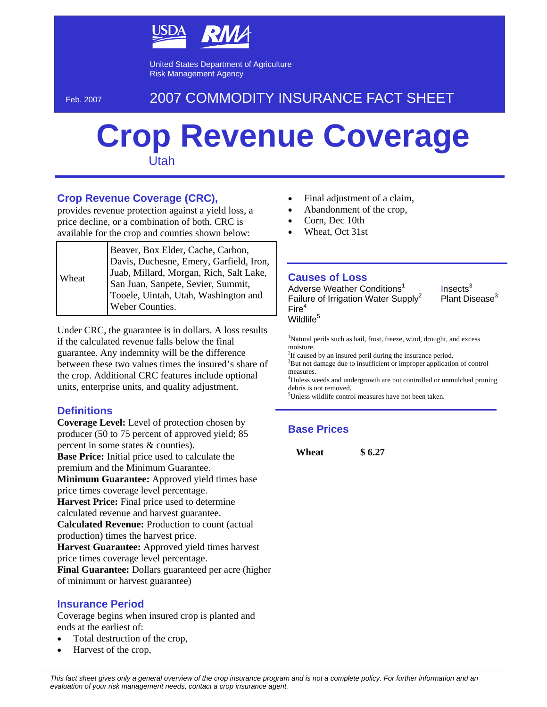

United States Department of Agriculture Risk Management Agency

# Feb. 2007 2007 COMMODITY INSURANCE FACT SHEET

# **Crop Revenue Coverage** Utah

### **Crop Revenue Coverage (CRC),**

provides revenue protection against a yield loss, a price decline, or a combination of both. CRC is available for the crop and counties shown below:

Under CRC, the guarantee is in dollars. A loss results if the calculated revenue falls below the final guarantee. Any indemnity will be the difference between these two values times the insured's share of the crop. Additional CRC features include optional units, enterprise units, and quality adjustment.

#### **Definitions**

**Coverage Level:** Level of protection chosen by producer (50 to 75 percent of approved yield; 85 percent in some states & counties). **Base Price:** Initial price used to calculate the premium and the Minimum Guarantee. **Minimum Guarantee:** Approved yield times base price times coverage level percentage. **Harvest Price:** Final price used to determine calculated revenue and harvest guarantee. **Calculated Revenue:** Production to count (actual production) times the harvest price. **Harvest Guarantee:** Approved yield times harvest price times coverage level percentage. **Final Guarantee:** Dollars guaranteed per acre (higher of minimum or harvest guarantee)

#### **Insurance Period**

Coverage begins when insured crop is planted and ends at the earliest of:

- Total destruction of the crop,
- Harvest of the crop,
- Final adjustment of a claim,
- Abandonment of the crop,
- Corn, Dec 10th
- Wheat, Oct 31st

#### **Causes of Loss**

Adverse Weather Conditions<sup>1</sup> Failure of Irrigation Water Supply<sup>2</sup>  $Fire<sup>4</sup>$ Wildlife<sup>5</sup>

 $Insects<sup>3</sup>$ Plant Disease<sup>3</sup>

<sup>1</sup>Natural perils such as hail, frost, freeze, wind, drought, and excess moisture.

 $2$ If caused by an insured peril during the insurance period.

<sup>3</sup>But not damage due to insufficient or improper application of control measures.

<sup>4</sup>Unless weeds and undergrowth are not controlled or unmulched pruning debris is not removed.

<sup>5</sup>Unless wildlife control measures have not been taken.

## **Base Prices**

**Wheat \$ 6.27** 

*This fact sheet gives only a general overview of the crop insurance program and is not a complete policy. For further information and an evaluation of your risk management needs, contact a crop insurance agent.*